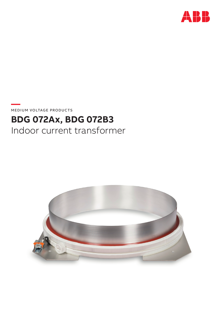

**—**  MEDIUM VOLTAGE PRODUCTS

# **BDG 072Ax, BDG 072B3** Indoor current transformer

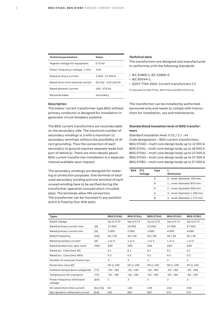| <b>Technical parameters</b>      | Value                 |
|----------------------------------|-----------------------|
| Highest voltage for equipment    | 0.72 kV               |
| Power frequency voltage, 1 min.  | 3 kV                  |
| Rated primary current            | 2000 - 57000 A        |
| Rated short-time thermal current | 63 (3s) – 210 (3s) kA |
| Rated dynamic current            | $190 - 575 kA$        |
| Reconnectable                    | secondary             |

#### **Description**

The indoor current transformer type BDG without primary conductor is designed for installation in generator circuit-breakers systems.

The BDG current transformers are reconnectable on the secondary side. The maximum number of secondary windings is 3 with a maximum 12 secondary terminals without the possibility of direct grounding. Thus the connection of each secondary to ground requires separate leads (not part of delivery). There are more details about BDG current transformer installation in a separate manual available upon request.

The secondary windings are designed for metering or protection purposes. One terminal of each used secondary winding and one terminal of each unused winding have to be earthed during the transformer operation (unused short-circuited also). The terminals allow M4 connection. The transformer can be mounted in any position and it is fixed by four M16 bolts.

#### **Technical data**

The transformers are designed and manufactured in conformity with the following standards:

• IEC 61869-1; IEC 61869-2;

- IEC 60044-1;
- GOST 7746-2001: Current transformers (\*).

(\*) Aplicable for BDG 072A1, BDG 072A2 and BDG 072A3 only

The transformer can be installed by authorized personnel only and needs to comply with instructions for installation, use and maintenance.

### **Standardized insulation level of BDG transformers**

Standard insulation level: 0.72 / 3 / - kV Code designation – BDG current transformers BDG 072A0 – multi core design body up to 12 000 A BDG 072A1 – multi core design body up to 18 000 A BDG 072A2 – multi core design body up to 23 000 A BDG 072A3 – multi core design body up to 57 000 A BDG 072B3 – multi core design body up to 57 000 A

| <b>BDG</b> | 072<br>Voltage | Type | x<br>dimension           |
|------------|----------------|------|--------------------------|
|            |                | А    | 0inner diameter 700 mm   |
|            |                | А    | 1inner diameter 870 mm   |
|            |                | А    | 2inner diameter 940 mm   |
|            |                | А    | 3inner diameter 1 260 mm |
|            |                | R    | 3inner diameter 1 275 mm |

| <b>Types</b>                         |                          | <b>BDG 072A0</b> | <b>BDG072A1</b> | <b>BDG 072A2</b> | <b>BDG072A3</b> | <b>BDG 072B3</b> |
|--------------------------------------|--------------------------|------------------|-----------------|------------------|-----------------|------------------|
| Rated voltage                        |                          | Up to 0.72       | Up to 0.72      | Up to 0.72       | Up to 0.72      | Up to 0.72       |
| Rated primary current max.           | [A]                      | 12000            | 18000           | 23 000           | 57000           | 57000            |
| Rated primary current min.           | [A]                      | 2000             | 2000            | 3 0 0 0          | 4000            | 4000             |
| Rated frequency                      | [Hz]                     | 50/60            | 50/60           | 50/60            | 50/60           | 50/60            |
| Rated secondary current              | [A]                      | $1$ or $5$       | $1$ or $5$      | $1$ or $5$       | 1 or 5          | $1$ or $5$       |
| Rated burden max. (per core)         | [VA]                     | 200              | 200             | 200              | 200             | 200              |
| Rated acc. Class best IEC            |                          | 0.1              | 0.1             | 0.1              | 0.1             | 0.1              |
| Rated acc. Class best ANSI           |                          | 0.3              | 0.3             | 0.3              | 0.3             | 0.3              |
| Number of cores per frame max.       |                          | 3                | 3               | 3                | 3               | 3                |
| Protection class IEC                 |                          | 5P or 10P        | 5P or 10P       | 5P or 10P        | 5P or 10P       | 5P or 10P        |
| Ambient temperature categories       | $\Gamma$ <sup>o</sup> Cl | $-45+80$         | $-45+80$        | $-45+80$         | $-45+80$        | $-45+80$         |
| Temperature for transport            | $\Gamma$ <sup>o</sup> Cl | $-50+80$         | $-50+80$        | $-50+80$         | $-50+80$        | $-50+80$         |
| Power frequency withstand<br>voltage | [kV]                     | 3                | 3               | 3                | 3               | 3                |
| Ith rated short-time current         | [kA/3s]                  | 63               | 130             | 130              | 210             | 210              |
| Idyn dynamic withstand current       | [kA]                     | 190              | 360             | 360              | 575             | 575              |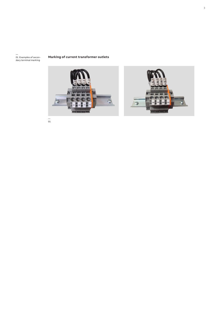01 Examples of secon-dary terminal marking

### **Marking of current transformer outlets** —





— 01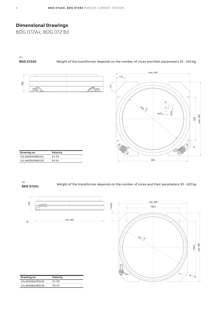## **Dimensional Drawings**

BDG 072Ax, BDG 072 B3

# **—**

**BDG 072A0** Weight of the transformer depends on the number of cores and their parameters 25 - 100 kg.



| Drawing no.     | <b>POIDILY</b> |
|-----------------|----------------|
| 1VL4600939R0101 | P1-P2          |
| 1VL4600939R0102 | P2-P1          |

### **—**

**BDG 072A1** Weight of the transformer depends on the number of cores and their parameters 30 - 120 kg.



| I |  |
|---|--|
|   |  |
|   |  |
|   |  |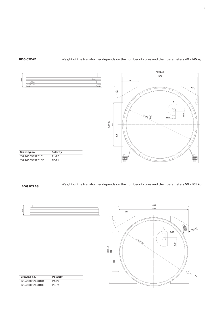### **BDG 072A2** Weight of the transformer depends on the number of cores and their parameters 40 - 145 kg.



**—** 

**—** 

**BDG 072A3** Weight of the transformer depends on the number of cores and their parameters 50 - 205 kg.

r



|                                   | 1400                                |                |
|-----------------------------------|-------------------------------------|----------------|
|                                   | 350                                 |                |
| $30^{\circ}$<br>$1356 + 2$<br>800 | Α<br>2x18<br>€۔<br>21260 x3<br>2x14 | $2x \oplus 18$ |
| 400                               | $_{\oplus}$<br>Φ                    | Α              |
|                                   |                                     |                |

1436

| Drawing no.     | Polarity |
|-----------------|----------|
| 1VL4600824R0101 | P1-P2    |
| 1VL4600824R0102 | P2-P1    |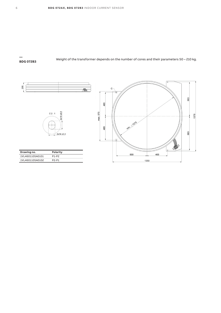# **—**

**BDG 072B3** Weight of the transformer depends on the number of cores and their parameters 50 – 210 kg.